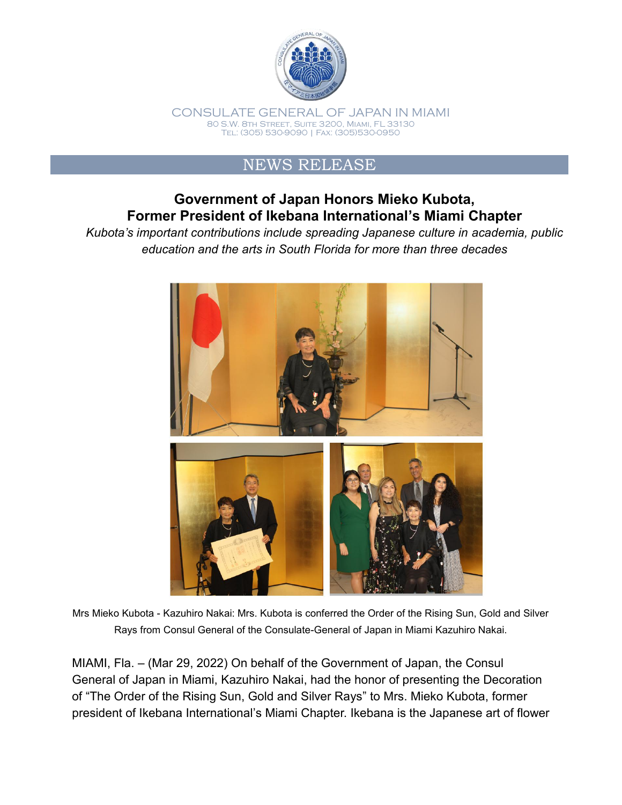

CONSULATE GENERAL OF JAPAN IN MIAMI 80 S.W. 8th Street, Suite 3200, Miami, FL 33130 Tel: (305) 530-9090 | Fax: (305)530-0950

## NEWS RELEASE

## **Government of Japan Honors Mieko Kubota, Former President of Ikebana International's Miami Chapter**

*Kubota's important contributions include spreading Japanese culture in academia, public education and the arts in South Florida for more than three decades*



Mrs Mieko Kubota - Kazuhiro Nakai: Mrs. Kubota is conferred the Order of the Rising Sun, Gold and Silver Rays from Consul General of the Consulate-General of Japan in Miami Kazuhiro Nakai.

MIAMI, Fla. – (Mar 29, 2022) On behalf of the Government of Japan, the Consul General of Japan in Miami, Kazuhiro Nakai, had the honor of presenting the Decoration of "The Order of the Rising Sun, Gold and Silver Rays" to Mrs. Mieko Kubota, former president of Ikebana International's Miami Chapter. Ikebana is the Japanese art of flower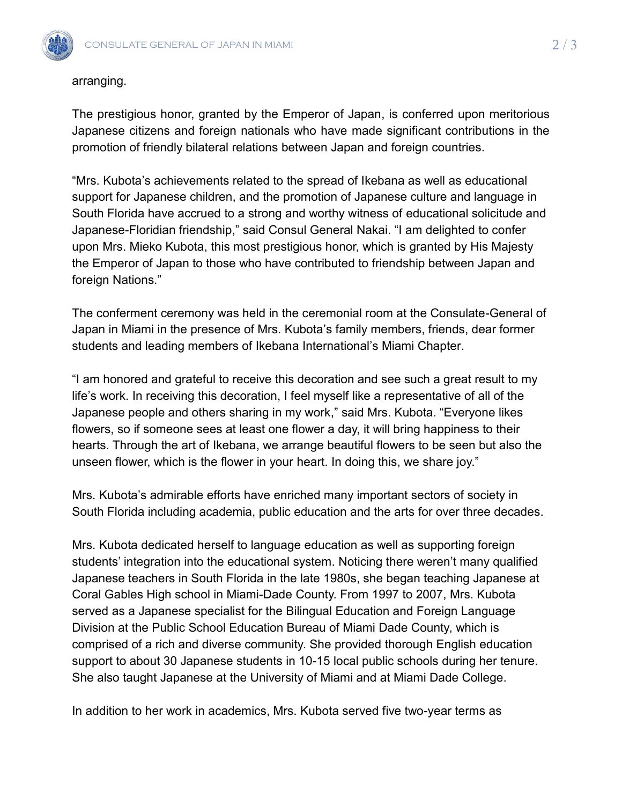

## arranging.

The prestigious honor, granted by the Emperor of Japan, is conferred upon meritorious Japanese citizens and foreign nationals who have made significant contributions in the promotion of friendly bilateral relations between Japan and foreign countries.

"Mrs. Kubota's achievements related to the spread of Ikebana as well as educational support for Japanese children, and the promotion of Japanese culture and language in South Florida have accrued to a strong and worthy witness of educational solicitude and Japanese-Floridian friendship," said Consul General Nakai. "I am delighted to confer upon Mrs. Mieko Kubota, this most prestigious honor, which is granted by His Majesty the Emperor of Japan to those who have contributed to friendship between Japan and foreign Nations."

The conferment ceremony was held in the ceremonial room at the Consulate-General of Japan in Miami in the presence of Mrs. Kubota's family members, friends, dear former students and leading members of Ikebana International's Miami Chapter.

"I am honored and grateful to receive this decoration and see such a great result to my life's work. In receiving this decoration, I feel myself like a representative of all of the Japanese people and others sharing in my work," said Mrs. Kubota. "Everyone likes flowers, so if someone sees at least one flower a day, it will bring happiness to their hearts. Through the art of Ikebana, we arrange beautiful flowers to be seen but also the unseen flower, which is the flower in your heart. In doing this, we share joy."

Mrs. Kubota's admirable efforts have enriched many important sectors of society in South Florida including academia, public education and the arts for over three decades.

Mrs. Kubota dedicated herself to language education as well as supporting foreign students' integration into the educational system. Noticing there weren't many qualified Japanese teachers in South Florida in the late 1980s, she began teaching Japanese at Coral Gables High school in Miami-Dade County. From 1997 to 2007, Mrs. Kubota served as a Japanese specialist for the Bilingual Education and Foreign Language Division at the Public School Education Bureau of Miami Dade County, which is comprised of a rich and diverse community. She provided thorough English education support to about 30 Japanese students in 10-15 local public schools during her tenure. She also taught Japanese at the University of Miami and at Miami Dade College.

In addition to her work in academics, Mrs. Kubota served five two-year terms as